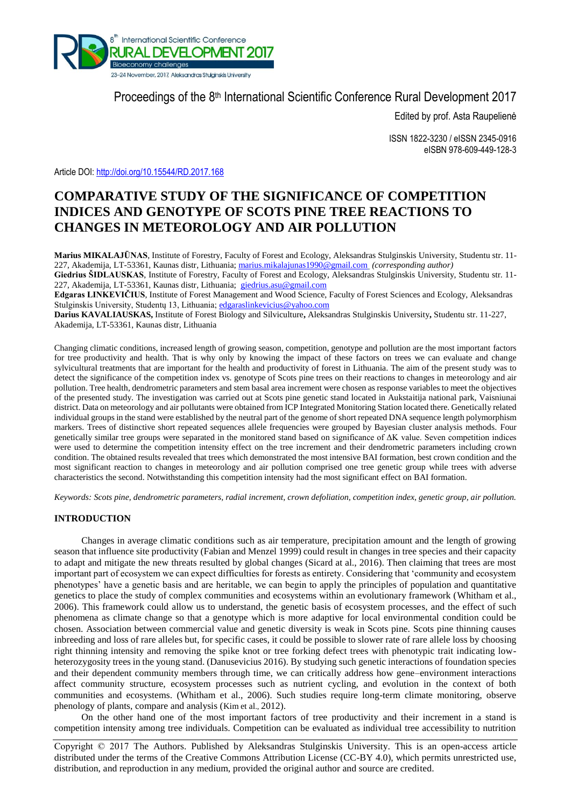

# Proceedings of the 8<sup>th</sup> International Scientific Conference Rural Development 2017

Edited by prof. Asta Raupelienė

ISSN 1822-3230 / eISSN 2345-0916 eISBN 978-609-449-128-3

Article DOI:<http://doi.org/10.15544/RD.2017.168>

# **COMPARATIVE STUDY OF THE SIGNIFICANCE OF COMPETITION INDICES AND GENOTYPE OF SCOTS PINE TREE REACTIONS TO CHANGES IN METEOROLOGY AND AIR POLLUTION**

**Marius MIKALAJŪNAS**, Institute of Forestry, Faculty of Forest and Ecology, Aleksandras Stulginskis University, Studentu str. 11- 227, Akademija, LT-53361, Kaunas distr, Lithuania[; marius.mikalajunas1990@gmail.com](mailto:marius.mikalajunas1990@gmail.com) *(corresponding author)* **Giedrius ŠIDLAUSKAS**, Institute of Forestry, Faculty of Forest and Ecology, Aleksandras Stulginskis University, Studentu str. 11-

227, Akademija, LT-53361, Kaunas distr, Lithuania; [giedrius.asu@gmail.com](mailto:giedrius.asu@gmail.com)

**Edgaras LINKEVIČIUS**, Institute of Forest Management and Wood Science, Faculty of Forest Sciences and Ecology, Aleksandras Stulginskis University, Studentų 13, Lithuania[; edgaraslinkevicius@yahoo.com](mailto:edgaraslinkevicius@yahoo.com)

**Darius KAVALIAUSKAS,** Institute of Forest Biology and Silviculture**,** Aleksandras Stulginskis University**,** Studentu str. 11-227, Akademija, LT-53361, Kaunas distr, Lithuania

Changing climatic conditions, increased length of growing season, competition, genotype and pollution are the most important factors for tree productivity and health. That is why only by knowing the impact of these factors on trees we can evaluate and change sylvicultural treatments that are important for the health and productivity of forest in Lithuania. The aim of the present study was to detect the significance of the competition index vs. genotype of Scots pine trees on their reactions to changes in meteorology and air pollution. Tree health, dendrometric parameters and stem basal area increment were chosen as response variables to meet the objectives of the presented study. The investigation was carried out at Scots pine genetic stand located in Aukstaitija national park, Vaisniunai district. Data on meteorology and air pollutants were obtained from ICP Integrated Monitoring Station located there. Genetically related individual groups in the stand were established by the neutral part of the genome of short repeated DNA sequence length polymorphism markers. Trees of distinctive short repeated sequences allele frequencies were grouped by Bayesian cluster analysis methods. Four genetically similar tree groups were separated in the monitored stand based on significance of ΔK value. Seven competition indices were used to determine the competition intensity effect on the tree increment and their dendrometric parameters including crown condition. The obtained results revealed that trees which demonstrated the most intensive BAI formation, best crown condition and the most significant reaction to changes in meteorology and air pollution comprised one tree genetic group while trees with adverse characteristics the second. Notwithstanding this competition intensity had the most significant effect on BAI formation.

*Keywords: Scots pine, dendrometric parameters, radial increment, crown defoliation, competition index, genetic group, air pollution.*

# **INTRODUCTION**

Changes in average climatic conditions such as air temperature, precipitation amount and the length of growing season that influence site productivity (Fabian and Menzel 1999) could result in changes in tree species and their capacity to adapt and mitigate the new threats resulted by global changes (Sicard at al., 2016). Then claiming that trees are most important part of ecosystem we can expect difficulties for forests as entirety. Considering that 'community and ecosystem phenotypes' have a genetic basis and are heritable, we can begin to apply the principles of population and quantitative genetics to place the study of complex communities and ecosystems within an evolutionary framework (Whitham et al., 2006). This framework could allow us to understand, the genetic basis of ecosystem processes, and the effect of such phenomena as climate change so that a genotype which is more adaptive for local environmental condition could be chosen. Association between commercial value and genetic diversity is weak in Scots pine. Scots pine thinning causes inbreeding and loss of rare alleles but, for specific cases, it could be possible to slower rate of rare allele loss by choosing right thinning intensity and removing the spike knot or tree forking defect trees with phenotypic trait indicating lowheterozygosity trees in the young stand. (Danusevicius 2016). By studying such genetic interactions of foundation species and their dependent community members through time, we can critically address how gene–environment interactions affect community structure, ecosystem processes such as nutrient cycling, and evolution in the context of both communities and ecosystems. (Whitham et al., 2006). Such studies require long-term climate monitoring, observe phenology of plants, compare and analysis (Kim et al., 2012).

On the other hand one of the most important factors of tree productivity and their increment in a stand is competition intensity among tree individuals. Competition can be evaluated as individual tree accessibility to nutrition

Copyright © 2017 The Authors. Published by Aleksandras Stulginskis University. This is an open-access article distributed under the terms of the Creative Commons Attribution License (CC-BY 4.0), which permits unrestricted use, distribution, and reproduction in any medium, provided the original author and source are credited.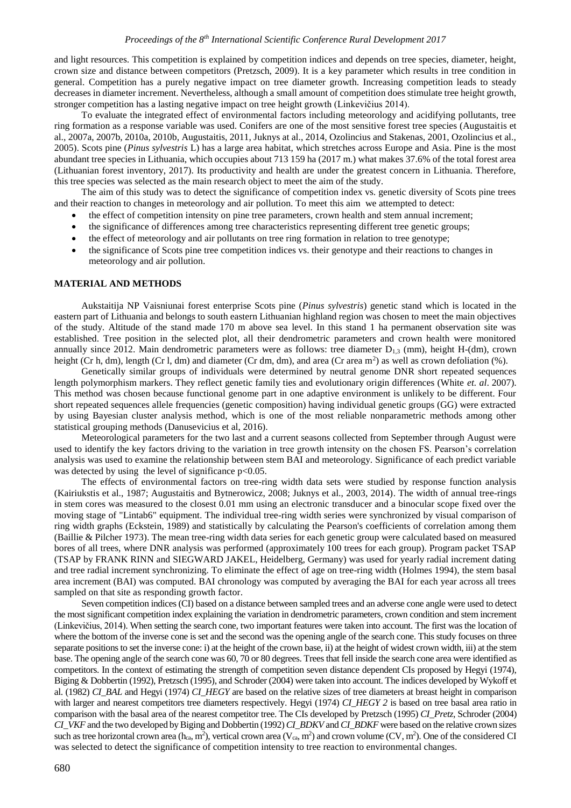and light resources. This competition is explained by competition indices and depends on tree species, diameter, height, crown size and distance between competitors (Pretzsch, 2009). It is a key parameter which results in tree condition in general. Competition has a purely negative impact on tree diameter growth. Increasing competition leads to steady decreases in diameter increment. Nevertheless, although a small amount of competition does stimulate tree height growth, stronger competition has a lasting negative impact on tree height growth (Linkevičius 2014).

To evaluate the integrated effect of environmental factors including meteorology and acidifying pollutants, tree ring formation as a response variable was used. Conifers are one of the most sensitive forest tree species (Augustaitis et al., 2007a, 2007b, 2010a, 2010b, Augustaitis, 2011, Juknys at al., 2014, Ozolincius and Stakenas, 2001, Ozolincius et al., 2005). Scots pine (*Pinus sylvestris* L) has a large area habitat, which stretches across Europe and Asia. Pine is the most abundant tree species in Lithuania, which occupies about 713 159 ha (2017 m.) what makes 37.6% of the total forest area (Lithuanian forest inventory, 2017). Its productivity and health are under the greatest concern in Lithuania. Therefore, this tree species was selected as the main research object to meet the aim of the study.

The aim of this study was to detect the significance of competition index vs. genetic diversity of Scots pine trees and their reaction to changes in meteorology and air pollution. To meet this aim we attempted to detect:

- the effect of competition intensity on pine tree parameters, crown health and stem annual increment;
- the significance of differences among tree characteristics representing different tree genetic groups;
- the effect of meteorology and air pollutants on tree ring formation in relation to tree genotype;
- the significance of Scots pine tree competition indices vs. their genotype and their reactions to changes in meteorology and air pollution.

#### **MATERIAL AND METHODS**

Aukstaitija NP Vaisniunai forest enterprise Scots pine (*Pinus sylvestris*) genetic stand which is located in the eastern part of Lithuania and belongs to south eastern Lithuanian highland region was chosen to meet the main objectives of the study. Altitude of the stand made 170 m above sea level. In this stand 1 ha permanent observation site was established. Tree position in the selected plot, all their dendrometric parameters and crown health were monitored annually since 2012. Main dendrometric parameters were as follows: tree diameter  $D_{1,3}$  (mm), height H-(dm), crown height (Cr h, dm), length (Cr l, dm) and diameter (Cr dm, dm), and area (Cr area m<sup>2</sup>) as well as crown defoliation  $(\%)$ .

Genetically similar groups of individuals were determined by neutral genome DNR short repeated sequences length polymorphism markers. They reflect genetic family ties and evolutionary origin differences (White *et. al*. 2007). This method was chosen because functional genome part in one adaptive environment is unlikely to be different. Four short repeated sequences allele frequencies (genetic composition) having individual genetic groups (GG) were extracted by using Bayesian cluster analysis method, which is one of the most reliable nonparametric methods among other statistical grouping methods (Danusevicius et al, 2016).

Meteorological parameters for the two last and a current seasons collected from September through August were used to identify the key factors driving to the variation in tree growth intensity on the chosen FS. Pearson's correlation analysis was used to examine the relationship between stem BAI and meteorology. Significance of each predict variable was detected by using the level of significance  $p<0.05$ .

The effects of environmental factors on tree-ring width data sets were studied by response function analysis (Kairiukstis et al., [1987;](http://link.springer.com/article/10.1007/s10342-013-0712-3#CR32) Augustaitis and Bytnerowicz, 2008; Juknys et al., 2003, 2014). The width of annual tree-rings in stem cores was measured to the closest 0.01 mm using an electronic transducer and a binocular scope fixed over the moving stage of "Lintab6" equipment. The individual tree-ring width series were synchronized by visual comparison of ring width graphs (Eckstein, 1989) and statistically by calculating the Pearson's coefficients of correlation among them (Baillie & Pilcher 1973). The mean tree-ring width data series for each genetic group were calculated based on measured bores of all trees, where DNR analysis was performed (approximately 100 trees for each group). Program packet TSAP (TSAP by FRANK RINN and SIEGWARD JAKEL, Heidelberg, Germany) was used for yearly radial increment dating and tree radial increment synchronizing. To eliminate the effect of age on tree-ring width (Holmes 1994), the stem basal area increment (BAI) was computed. BAI chronology was computed by averaging the BAI for each year across all trees sampled on that site as responding growth factor.

Seven competition indices (CI) based on a distance between sampled trees and an adverse cone angle were used to detect the most significant competition index explaining the variation in dendrometric parameters, crown condition and stem increment (Linkevičius, 2014). When setting the search cone, two important features were taken into account. The first was the location of where the bottom of the inverse cone is set and the second was the opening angle of the search cone. This study focuses on three separate positions to set the inverse cone: i) at the height of the crown base, ii) at the height of widest crown width, iii) at the stem base. The opening angle of the search cone was 60, 70 or 80 degrees. Trees that fell inside the search cone area were identified as competitors. In the context of estimating the strength of competition seven distance dependent CIs proposed by Hegyi (1974), Biging & Dobbertin (1992), Pretzsch (1995), and Schroder (2004) were taken into account. The indices developed by Wykoff et al. (1982) *CI\_BAL* and Hegyi (1974) *CI\_HEGY* are based on the relative sizes of tree diameters at breast height in comparison with larger and nearest competitors tree diameters respectively. Hegyi (1974) *CI\_HEGY 2* is based on tree basal area ratio in comparison with the basal area of the nearest competitor tree. The CIs developed by Pretzsch (1995) *CI\_Pretz*, Schroder (2004) *CI\_VKF* and the two developed by Biging and Dobbertin (1992) *CI\_BDKV* and *CI\_BDKF* were based on the relative crown sizes such as tree horizontal crown area ( $h_{ca}$ , m<sup>2</sup>), vertical crown area ( $V_{ca}$ , m<sup>2</sup>) and crown volume (CV, m<sup>2</sup>). One of the considered CI was selected to detect the significance of competition intensity to tree reaction to environmental changes.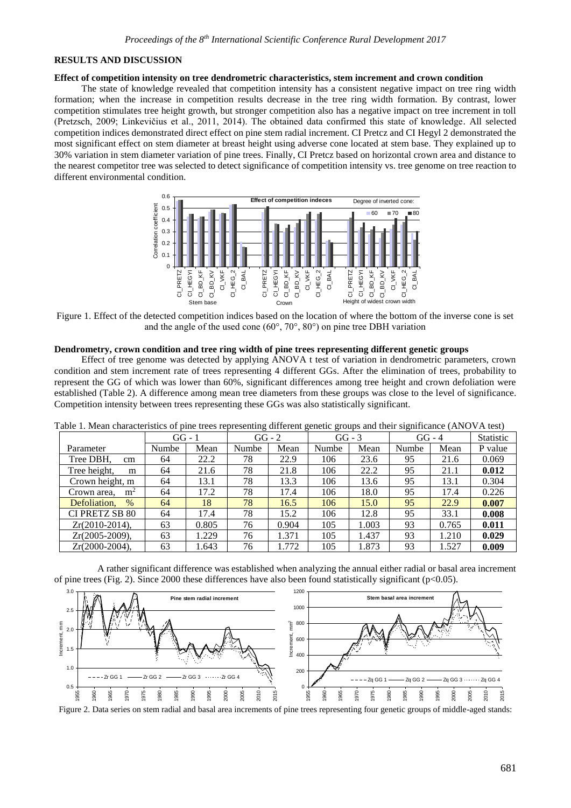#### **RESULTS AND DISCUSSION**

### **Effect of competition intensity on tree dendrometric characteristics, stem increment and crown condition**

The state of knowledge revealed that competition intensity has a consistent negative impact on tree ring width formation; when the increase in competition results decrease in the tree ring width formation. By contrast, lower competition stimulates tree height growth, but stronger competition also has a negative impact on tree increment in toll (Pretzsch, 2009; Linkevičius et al., 2011, 2014). The obtained data confirmed this state of knowledge. All selected competition indices demonstrated direct effect on pine stem radial increment. CI Pretcz and CI Hegyl 2 demonstrated the most significant effect on stem diameter at breast height using adverse cone located at stem base. They explained up to 30% variation in stem diameter variation of pine trees. Finally, CI Pretcz based on horizontal crown area and distance to the nearest competitor tree was selected to detect significance of competition intensity vs. tree genome on tree reaction to different environmental condition.



Figure 1. Effect of the detected competition indices based on the location of where the bottom of the inverse cone is set and the angle of the used cone (60°, 70°, 80°) on pine tree DBH variation

#### **Dendrometry, crown condition and tree ring width of pine trees representing different genetic groups**

Effect of tree genome was detected by applying ANOVA t test of variation in dendrometric parameters, crown condition and stem increment rate of trees representing 4 different GGs. After the elimination of trees, probability to represent the GG of which was lower than 60%, significant differences among tree height and crown defoliation were established (Table 2). A difference among mean tree diameters from these groups was close to the level of significance. Competition intensity between trees representing these GGs was also statistically significant.

|                               |          |       |          |       |          |       | -------  |       |                  |
|-------------------------------|----------|-------|----------|-------|----------|-------|----------|-------|------------------|
|                               | $GG - 1$ |       | $GG - 2$ |       | $GG - 3$ |       | $GG - 4$ |       | <b>Statistic</b> |
| Parameter                     | Numbe    | Mean  | Numbe    | Mean  | Numbe    | Mean  | Numbe    | Mean  | P value          |
| Tree DBH.<br>cm               | 64       | 22.2  | 78       | 22.9  | 106      | 23.6  | 95       | 21.6  | 0.069            |
| Tree height,<br>m             | 64       | 21.6  | 78       | 21.8  | 106      | 22.2  | 95       | 21.1  | 0.012            |
| Crown height, m               | 64       | 13.1  | 78       | 13.3  | 106      | 13.6  | 95       | 13.1  | 0.304            |
| Crown area.<br>m <sup>2</sup> | 64       | 17.2  | 78       | 17.4  | 106      | 18.0  | 95       | 17.4  | 0.226            |
| Defoliation,<br>$\%$          | 64       | 18    | 78       | 16.5  | 106      | 15.0  | 95       | 22.9  | 0.007            |
| CI PRETZ SB 80                | 64       | 17.4  | 78       | 15.2  | 106      | 12.8  | 95       | 33.1  | 0.008            |
| $Zr(2010-2014),$              | 63       | 0.805 | 76       | 0.904 | 105      | 1.003 | 93       | 0.765 | 0.011            |
| $Zr(2005-2009)$ ,             | 63       | 1.229 | 76       | 1.371 | 105      | 1.437 | 93       | 1.210 | 0.029            |
| $Zr(2000-2004),$              | 63       | 1.643 | 76       | 1.772 | 105      | 1.873 | 93       | 1.527 | 0.009            |

Table 1. Mean characteristics of pine trees representing different genetic groups and their significance (ANOVA test)

A rather significant difference was established when analyzing the annual either radial or basal area increment of pine trees (Fig. 2). Since 2000 these differences have also been found statistically significant ( $p<0.05$ ).



Figure 2. Data series on stem radial and basal area increments of pine trees representing four genetic groups of middle-aged stands: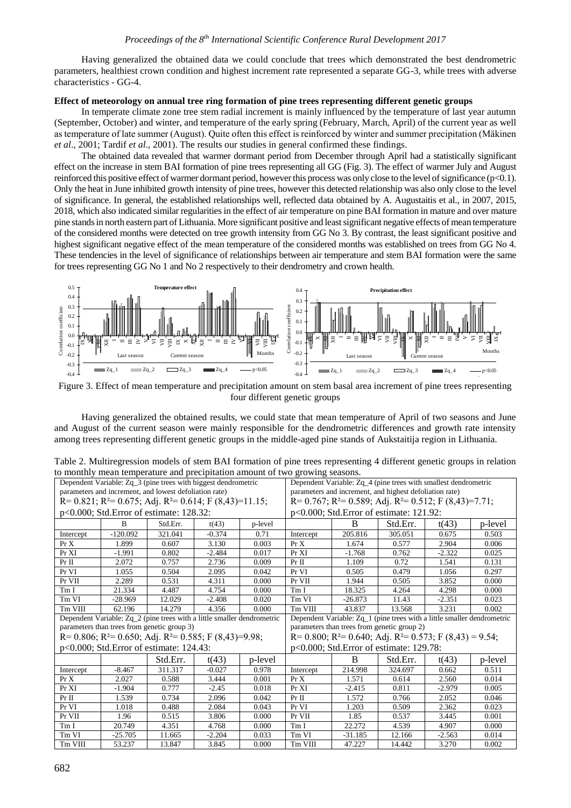Having generalized the obtained data we could conclude that trees which demonstrated the best dendrometric parameters, healthiest crown condition and highest increment rate represented a separate GG-3, while trees with adverse characteristics - GG-4.

# **Effect of meteorology on annual tree ring formation of pine trees representing different genetic groups**

In temperate climate zone tree stem radial increment is mainly influenced by the temperature of last year autumn (September, October) and winter, and temperature of the early spring (February, March, April) of the current year as well as temperature of late summer (August). Quite often this effect is reinforced by winter and summer precipitation (Mäkinen *et al*., 2001; Tardif *et al*., 2001). The results our studies in general confirmed these findings.

The obtained data revealed that warmer dormant period from December through April had a statistically significant effect on the increase in stem BAI formation of pine trees representing all GG (Fig. 3). The effect of warmer July and August reinforced this positive effect of warmer dormant period, however this process was only close to the level of significance (p<0.1). Only the heat in June inhibited growth intensity of pine trees, however this detected relationship was also only close to the level of significance. In general, the established relationships well, reflected data obtained by A. Augustaitis et al., in 2007, 2015, 2018, which also indicated similar regularities in the effect of air temperature on pine BAI formation in mature and over mature pine stands in north eastern part of Lithuania. More significant positive and least significant negative effects of mean temperature of the considered months were detected on tree growth intensity from GG No 3. By contrast, the least significant positive and highest significant negative effect of the mean temperature of the considered months was established on trees from GG No 4. These tendencies in the level of significance of relationships between air temperature and stem BAI formation were the same for trees representing GG No 1 and No 2 respectively to their dendrometry and crown health.



Figure 3. Effect of mean temperature and precipitation amount on stem basal area increment of pine trees representing four different genetic groups

| 0.5                                                                                                                                                                                                                                                                                                                                                                                                                                                                                                                                                                      |                                                                                                                        | <b>Temperature effect</b>                            |                        |                              | 0.4<br><b>Precipitation effect</b>                                                                                       |                             |                                                                 |                                   |                              |  |  |
|--------------------------------------------------------------------------------------------------------------------------------------------------------------------------------------------------------------------------------------------------------------------------------------------------------------------------------------------------------------------------------------------------------------------------------------------------------------------------------------------------------------------------------------------------------------------------|------------------------------------------------------------------------------------------------------------------------|------------------------------------------------------|------------------------|------------------------------|--------------------------------------------------------------------------------------------------------------------------|-----------------------------|-----------------------------------------------------------------|-----------------------------------|------------------------------|--|--|
| 0.4<br>0.3<br>Correlation coefficien<br>0.2<br>0.1<br>0.0<br>$-0.1$<br>$-0.2$<br>$-0.3$<br>$-0.4$                                                                                                                                                                                                                                                                                                                                                                                                                                                                        | $\geq$<br>Last season<br>Zq2                                                                                           | 2<br>× ⊭<br>Ę<br>ij<br>Current season<br>$\Box$ Zq 3 | $\Xi$ $\Xi$ $\Xi$<br>貝 | IJ,<br>貝<br>Months<br>p<0.05 | 0.3<br>Correlation coefficient<br>0.2<br>0.1<br>0.0<br>閛<br>$-0.1$<br>$-0.2$<br>$-0.3$<br>$-0.4$                         | ≔'≣ ⊯<br>Last season<br>Zq2 | Ę<br>2<br>貝<br>×<br>$Zq_3$                                      | $\Xi$<br>Current season<br>$Zq_4$ | ∃l⊠<br>5<br>Months<br>p<0.05 |  |  |
|                                                                                                                                                                                                                                                                                                                                                                                                                                                                                                                                                                          | Figure 3. Effect of mean temperature and precipitation amount on stem basal area increment of pine trees representing  |                                                      |                        |                              |                                                                                                                          |                             |                                                                 |                                   |                              |  |  |
|                                                                                                                                                                                                                                                                                                                                                                                                                                                                                                                                                                          |                                                                                                                        |                                                      |                        |                              | four different genetic groups                                                                                            |                             |                                                                 |                                   |                              |  |  |
| Having generalized the obtained results, we could state that mean temperature of April of two seasons and June<br>and August of the current season were mainly responsible for the dendrometric differences and growth rate intensity<br>among trees representing different genetic groups in the middle-aged pine stands of Aukstaitija region in Lithuania.<br>Table 2. Multiregression models of stem BAI formation of pine trees representing 4 different genetic groups in relation<br>to monthly mean temperature and precipitation amount of two growing seasons. |                                                                                                                        |                                                      |                        |                              |                                                                                                                          |                             |                                                                 |                                   |                              |  |  |
|                                                                                                                                                                                                                                                                                                                                                                                                                                                                                                                                                                          | Dependent Variable: Zq_3 (pine trees with biggest dendrometric                                                         |                                                      |                        |                              |                                                                                                                          |                             | Dependent Variable: Zq_4 (pine trees with smallest dendrometric |                                   |                              |  |  |
|                                                                                                                                                                                                                                                                                                                                                                                                                                                                                                                                                                          | parameters and increment, and lowest defoliation rate)                                                                 |                                                      |                        |                              | parameters and increment, and highest defoliation rate)                                                                  |                             |                                                                 |                                   |                              |  |  |
|                                                                                                                                                                                                                                                                                                                                                                                                                                                                                                                                                                          | R= 0.821; R <sup>2</sup> = 0.675; Adj. R <sup>2</sup> = 0.614; F (8,43)=11.15;                                         |                                                      |                        |                              | $R = 0.767$ ; $R^2 = 0.589$ ; Adj. $R^2 = 0.512$ ; F $(8,43) = 7.71$ ;                                                   |                             |                                                                 |                                   |                              |  |  |
|                                                                                                                                                                                                                                                                                                                                                                                                                                                                                                                                                                          | p<0.000; Std. Error of estimate: 128.32:                                                                               |                                                      |                        |                              | p<0.000; Std.Error of estimate: 121.92:                                                                                  |                             |                                                                 |                                   |                              |  |  |
|                                                                                                                                                                                                                                                                                                                                                                                                                                                                                                                                                                          | B                                                                                                                      | Std.Err.                                             | t(43)                  | p-level                      |                                                                                                                          | B                           | Std.Err.                                                        | t(43)                             | p-level                      |  |  |
| Intercept                                                                                                                                                                                                                                                                                                                                                                                                                                                                                                                                                                | $-120.092$                                                                                                             | 321.041                                              | $-0.374$               | 0.71                         | Intercept                                                                                                                | 205.816                     | 305.051                                                         | 0.675                             | 0.503                        |  |  |
| Pr X                                                                                                                                                                                                                                                                                                                                                                                                                                                                                                                                                                     | 1.899                                                                                                                  | 0.607                                                | 3.130                  | 0.003                        | Pr X                                                                                                                     | 1.674                       | 0.577                                                           | 2.904                             | 0.006                        |  |  |
| Pr XI                                                                                                                                                                                                                                                                                                                                                                                                                                                                                                                                                                    | $-1.991$                                                                                                               | 0.802                                                | $-2.484$               | 0.017                        | Pr XI                                                                                                                    | $-1.768$                    | 0.762                                                           | $-2.322$                          | 0.025                        |  |  |
| $Pr$ II                                                                                                                                                                                                                                                                                                                                                                                                                                                                                                                                                                  | 2.072                                                                                                                  | 0.757                                                | 2.736                  | 0.009                        | $Pr$ II                                                                                                                  | 1.109                       | 0.72                                                            | 1.541                             | 0.131                        |  |  |
| Pr VI                                                                                                                                                                                                                                                                                                                                                                                                                                                                                                                                                                    | 1.055                                                                                                                  | 0.504                                                | 2.095                  | 0.042                        | Pr VI                                                                                                                    | 0.505                       | 0.479                                                           | 1.056                             | 0.297                        |  |  |
| Pr VII                                                                                                                                                                                                                                                                                                                                                                                                                                                                                                                                                                   | 2.289                                                                                                                  | 0.531                                                | 4.311                  | 0.000                        | Pr VII                                                                                                                   | 1.944                       | 0.505                                                           | 3.852                             | 0.000                        |  |  |
| Tm I                                                                                                                                                                                                                                                                                                                                                                                                                                                                                                                                                                     | 21.334                                                                                                                 | 4.487                                                | 4.754                  | 0.000                        | Tm I                                                                                                                     | 18.325                      | 4.264                                                           | 4.298                             | 0.000                        |  |  |
| Tm VI                                                                                                                                                                                                                                                                                                                                                                                                                                                                                                                                                                    | $-28.969$                                                                                                              | 12.029                                               | $-2.408$               | 0.020                        | Tm VI                                                                                                                    | $-26.873$                   | 11.43                                                           | $-2.351$                          | 0.023                        |  |  |
| Tm VIII                                                                                                                                                                                                                                                                                                                                                                                                                                                                                                                                                                  | 62.196                                                                                                                 | 14.279                                               | 4.356                  | 0.000                        | Tm VIII                                                                                                                  | 43.837                      | 13.568                                                          | 3.231                             | 0.002                        |  |  |
|                                                                                                                                                                                                                                                                                                                                                                                                                                                                                                                                                                          | Dependent Variable: Zq_2 (pine trees with a little smaller dendrometric<br>parameters than trees from genetic group 3) |                                                      |                        |                              | Dependent Variable: $Zq_1$ (pine trees with a little smaller dendrometric<br>parameters than trees from genetic group 2) |                             |                                                                 |                                   |                              |  |  |
|                                                                                                                                                                                                                                                                                                                                                                                                                                                                                                                                                                          |                                                                                                                        |                                                      |                        |                              | R= 0.800; R <sup>2</sup> = 0.640; Adj. R <sup>2</sup> = 0.573; F (8,43) = 9.54;                                          |                             |                                                                 |                                   |                              |  |  |
| R= 0.806; R <sup>2</sup> = 0.650; Adj. R <sup>2</sup> = 0.585; F (8,43)=9.98;<br>p<0.000; Std. Error of estimate: 124.43:                                                                                                                                                                                                                                                                                                                                                                                                                                                |                                                                                                                        |                                                      |                        |                              | p<0.000; Std. Error of estimate: 129.78:                                                                                 |                             |                                                                 |                                   |                              |  |  |
|                                                                                                                                                                                                                                                                                                                                                                                                                                                                                                                                                                          |                                                                                                                        |                                                      |                        |                              |                                                                                                                          |                             |                                                                 |                                   |                              |  |  |
|                                                                                                                                                                                                                                                                                                                                                                                                                                                                                                                                                                          |                                                                                                                        | Std.Err.                                             | t(43)                  | p-level                      |                                                                                                                          | B                           | Std.Err.                                                        | t(43)                             | p-level                      |  |  |
| Intercept                                                                                                                                                                                                                                                                                                                                                                                                                                                                                                                                                                | $-8.467$                                                                                                               | 311.317                                              | $-0.027$               | 0.978                        | Intercept                                                                                                                | 214.998                     | 324.697                                                         | 0.662                             | 0.511                        |  |  |
| Pr X<br>Pr XI                                                                                                                                                                                                                                                                                                                                                                                                                                                                                                                                                            | 2.027                                                                                                                  | 0.588                                                | 3.444                  | 0.001                        | Pr X                                                                                                                     | 1.571                       | 0.614                                                           | 2.560<br>$-2.979$                 | 0.014                        |  |  |
| $Pr$ II                                                                                                                                                                                                                                                                                                                                                                                                                                                                                                                                                                  | $-1.904$<br>1.539                                                                                                      | 0.777<br>0.734                                       | $-2.45$<br>2.096       | 0.018<br>0.042               | Pr XI<br>Pr II                                                                                                           | $-2.415$<br>1.572           | 0.811<br>0.766                                                  | 2.052                             | 0.005<br>0.046               |  |  |
| Pr VI                                                                                                                                                                                                                                                                                                                                                                                                                                                                                                                                                                    | 1.018                                                                                                                  | 0.488                                                | 2.084                  | 0.043                        | Pr VI                                                                                                                    | 1.203                       | 0.509                                                           | 2.362                             | 0.023                        |  |  |
| Pr VII                                                                                                                                                                                                                                                                                                                                                                                                                                                                                                                                                                   | 1.96                                                                                                                   | 0.515                                                | 3.806                  | 0.000                        | Pr VII                                                                                                                   | 1.85                        | 0.537                                                           | 3.445                             | 0.001                        |  |  |
| Tm I                                                                                                                                                                                                                                                                                                                                                                                                                                                                                                                                                                     | 20.749                                                                                                                 | 4.351                                                | 4.768                  | 0.000                        | Tm I                                                                                                                     | 22.272                      | 4.539                                                           | 4.907                             | 0.000                        |  |  |
| Tm VI                                                                                                                                                                                                                                                                                                                                                                                                                                                                                                                                                                    | $-25.705$                                                                                                              | 11.665                                               | $-2.204$               | 0.033                        | Tm VI                                                                                                                    | $-31.185$                   | 12.166                                                          | $-2.563$                          | 0.014                        |  |  |
| Tm VIII                                                                                                                                                                                                                                                                                                                                                                                                                                                                                                                                                                  | 53.237                                                                                                                 | 13.847                                               | 3.845                  | 0.000                        | Tm VIII                                                                                                                  | 47.227                      | 14.442                                                          | 3.270                             | 0.002                        |  |  |

Table 2. Multiregression models of stem BAI formation of pine trees representing 4 different genetic groups in relation to monthly mean temperature and precipitation amount of two growing seasons.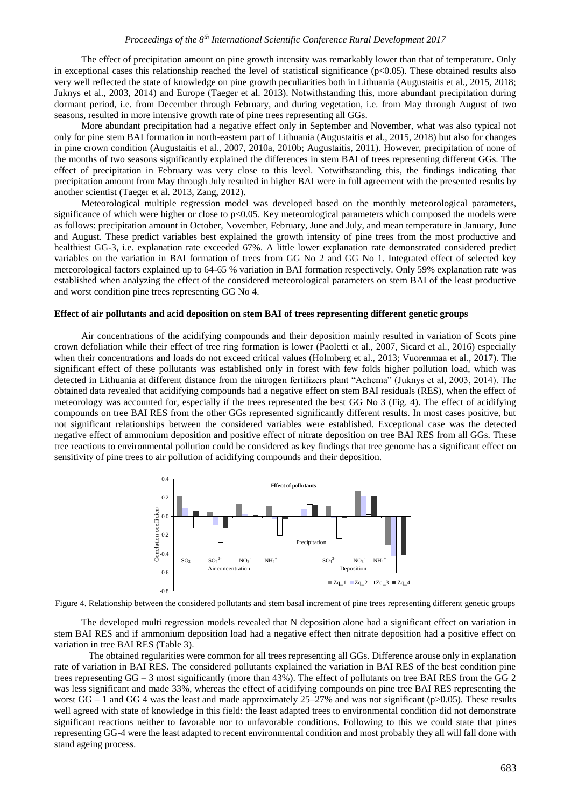# *Proceedings of the 8th International Scientific Conference Rural Development 2017*

The effect of precipitation amount on pine growth intensity was remarkably lower than that of temperature. Only in exceptional cases this relationship reached the level of statistical significance ( $p<0.05$ ). These obtained results also very well reflected the state of knowledge on pine growth peculiarities both in Lithuania (Augustaitis et al., 2015, 2018; Juknys et al., 2003, 2014) and Europe [\(Taeger](http://www.sciencedirect.com/science/article/pii/S0378112713004210) et al. 2013). Notwithstanding this, more abundant precipitation during dormant period, i.e. from December through February, and during vegetation, i.e. from May through August of two seasons, resulted in more intensive growth rate of pine trees representing all GGs.

More abundant precipitation had a negative effect only in September and November, what was also typical not only for pine stem BAI formation in north-eastern part of Lithuania (Augustaitis et al., 2015, 2018) but also for changes in pine crown condition (Augustaitis et al., 2007, 2010a, 2010b; Augustaitis, 2011). However, precipitation of none of the months of two seasons significantly explained the differences in stem BAI of trees representing different GGs. The effect of precipitation in February was very close to this level. Notwithstanding this, the findings indicating that precipitation amount from May through July resulted in higher BAI were in full agreement with the presented results by another scientist [\(Taeger](http://www.sciencedirect.com/science/article/pii/S0378112713004210) et al. 2013, Zang, 2012).

Meteorological multiple regression model was developed based on the monthly meteorological parameters, significance of which were higher or close to p<0.05. Key meteorological parameters which composed the models were as follows: precipitation amount in October, November, February, June and July, and mean temperature in January, June and August. These predict variables best explained the growth intensity of pine trees from the most productive and healthiest GG-3, i.e. explanation rate exceeded 67%. A little lower explanation rate demonstrated considered predict variables on the variation in BAI formation of trees from GG No 2 and GG No 1. Integrated effect of selected key meteorological factors explained up to 64-65 % variation in BAI formation respectively. Only 59% explanation rate was established when analyzing the effect of the considered meteorological parameters on stem BAI of the least productive and worst condition pine trees representing GG No 4.

#### **Effect of air pollutants and acid deposition on stem BAI of trees representing different genetic groups**

Air concentrations of the acidifying compounds and their deposition mainly resulted in variation of Scots pine crown defoliation while their effect of tree ring formation is lower (Paoletti et al., 2007, Sicard et al., 2016) especially when their concentrations and loads do not exceed critical values (Holmberg et al., 2013; Vuorenmaa et al., 2017). The significant effect of these pollutants was established only in forest with few folds higher pollution load, which was detected in Lithuania at different distance from the nitrogen fertilizers plant "Achema" (Juknys et al, 2003, 2014). The obtained data revealed that acidifying compounds had a negative effect on stem BAI residuals (RES), when the effect of meteorology was accounted for, especially if the trees represented the best GG No 3 (Fig. 4). The effect of acidifying compounds on tree BAI RES from the other GGs represented significantly different results. In most cases positive, but not significant relationships between the considered variables were established. Exceptional case was the detected negative effect of ammonium deposition and positive effect of nitrate deposition on tree BAI RES from all GGs. These tree reactions to environmental pollution could be considered as key findings that tree genome has a significant effect on sensitivity of pine trees to air pollution of acidifying compounds and their deposition.



Figure 4. Relationship between the considered pollutants and stem basal increment of pine trees representing different genetic groups

The developed multi regression models revealed that N deposition alone had a significant effect on variation in stem BAI RES and if ammonium deposition load had a negative effect then nitrate deposition had a positive effect on variation in tree BAI RES (Table 3).

The obtained regularities were common for all trees representing all GGs. Difference arouse only in explanation rate of variation in BAI RES. The considered pollutants explained the variation in BAI RES of the best condition pine trees representing  $GG - 3$  most significantly (more than 43%). The effect of pollutants on tree BAI RES from the GG 2 was less significant and made 33%, whereas the effect of acidifying compounds on pine tree BAI RES representing the worst  $GG - 1$  and  $GG 4$  was the least and made approximately 25–27% and was not significant (p>0.05). These results well agreed with state of knowledge in this field: the least adapted trees to environmental condition did not demonstrate significant reactions neither to favorable nor to unfavorable conditions. Following to this we could state that pines representing GG-4 were the least adapted to recent environmental condition and most probably they all will fall done with Figure 4. Relationship between the considered pollutants<br>
Figure 4. Relationship between the considered pollutants and stem basal inconcentration<br>
Figure 4. Relationship between the considered pollutants and stem basal inc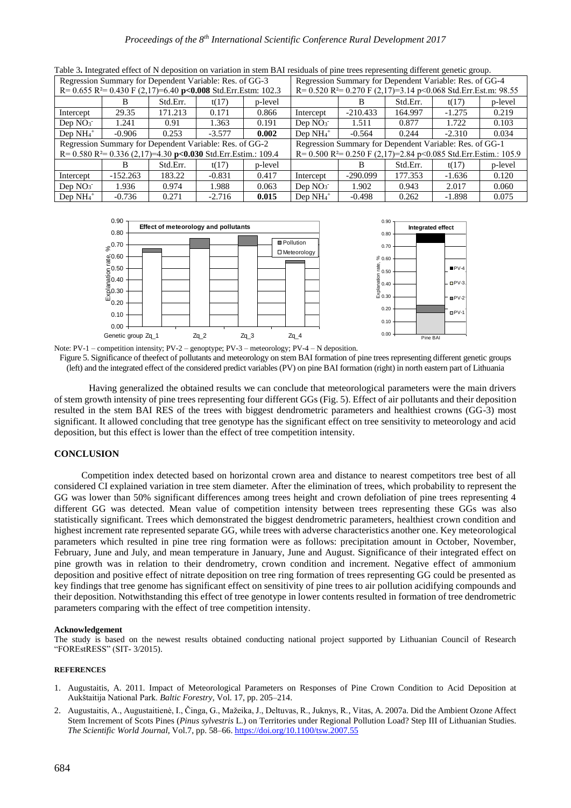| Regression Summary for Dependent Variable: Res. of GG-3<br>R= $0.655$ R <sup>2</sup> = $0.430$ F (2,17)=6.40 p<0.008 Std.Err.Estm: 102.3 |                                                                               |          |          |                                                         | <u>racio et mografio en est de poemon on vananon in etem est. recreate or pine avec representing enferted group,</u><br>Regression Summary for Dependent Variable: Res. of GG-4<br>R= $0.520$ R <sup>2</sup> = $0.270$ F $(2,17)$ =3.14 p < 0.068 Std. Err. Est. m: 98.55 |            |          |          |         |  |
|------------------------------------------------------------------------------------------------------------------------------------------|-------------------------------------------------------------------------------|----------|----------|---------------------------------------------------------|---------------------------------------------------------------------------------------------------------------------------------------------------------------------------------------------------------------------------------------------------------------------------|------------|----------|----------|---------|--|
|                                                                                                                                          |                                                                               | Std.Err. | t(17)    | p-level                                                 |                                                                                                                                                                                                                                                                           | B          | Std.Err. | t(17)    | p-level |  |
| Intercept                                                                                                                                | 29.35                                                                         | 171.213  | 0.171    | 0.866                                                   | Intercept                                                                                                                                                                                                                                                                 | $-210.433$ | 164.997  | $-1.275$ | 0.219   |  |
| Dep $NO3$                                                                                                                                | 1.241                                                                         | 0.91     | 1.363    | 0.191                                                   | Dep $NO3$                                                                                                                                                                                                                                                                 | 1.511      | 0.877    | 1.722    | 0.103   |  |
| Dep $NH_4$ <sup>+</sup>                                                                                                                  | $-0.906$                                                                      | 0.253    | $-3.577$ | 0.002                                                   | Dep $NH_4$ <sup>+</sup>                                                                                                                                                                                                                                                   | $-0.564$   | 0.244    | $-2.310$ | 0.034   |  |
|                                                                                                                                          | Regression Summary for Dependent Variable: Res. of GG-2                       |          |          | Regression Summary for Dependent Variable: Res. of GG-1 |                                                                                                                                                                                                                                                                           |            |          |          |         |  |
|                                                                                                                                          | R= $0.580$ R <sup>2</sup> = $0.336$ (2,17)=4.30 p<0.030 Std.Err.Estim.: 109.4 |          |          |                                                         | R= $0.500$ R <sup>2</sup> = $0.250$ F $(2,17)$ =2.84 p < 0.085 Std. Err. Estim.: 105.9                                                                                                                                                                                    |            |          |          |         |  |
|                                                                                                                                          |                                                                               | Std.Err. | t(17)    | p-level                                                 |                                                                                                                                                                                                                                                                           | В          | Std.Err. | t(17)    | p-level |  |
| Intercept                                                                                                                                | $-152.263$                                                                    | 183.22   | $-0.831$ | 0.417                                                   | Intercept                                                                                                                                                                                                                                                                 | $-290.099$ | 177.353  | $-1.636$ | 0.120   |  |
| Dep $NO3$                                                                                                                                | 1.936                                                                         | 0.974    | 1.988    | 0.063                                                   | Dep $NO3$                                                                                                                                                                                                                                                                 | 1.902      | 0.943    | 2.017    | 0.060   |  |
| Dep $NH_4$ <sup>+</sup>                                                                                                                  | $-0.736$                                                                      | 0.271    | $-2.716$ | 0.015                                                   | Dep $NH_4$ <sup>+</sup>                                                                                                                                                                                                                                                   | $-0.498$   | 0.262    | $-1.898$ | 0.075   |  |

Table 3**.** Integrated effect of N deposition on variation in stem BAI residuals of pine trees representing different genetic group.



Note: PV-1 – competition intensity; PV-2 – genoptype; PV-3 – meteorology; PV-4 – N deposition.

Figure 5. Significance of theefect of pollutants and meteorology on stem BAI formation of pine trees representing different genetic groups (left) and the integrated effect of the considered predict variables (PV) on pine BAI formation (right) in north eastern part of Lithuania

Having generalized the obtained results we can conclude that meteorological parameters were the main drivers of stem growth intensity of pine trees representing four different GGs (Fig. 5). Effect of air pollutants and their deposition resulted in the stem BAI RES of the trees with biggest dendrometric parameters and healthiest crowns (GG-3) most significant. It allowed concluding that tree genotype has the significant effect on tree sensitivity to meteorology and acid deposition, but this effect is lower than the effect of tree competition intensity.

# **CONCLUSION**

Competition index detected based on horizontal crown area and distance to nearest competitors tree best of all considered CI explained variation in tree stem diameter. After the elimination of trees, which probability to represent the GG was lower than 50% significant differences among trees height and crown defoliation of pine trees representing 4 different GG was detected. Mean value of competition intensity between trees representing these GGs was also statistically significant. Trees which demonstrated the biggest dendrometric parameters, healthiest crown condition and highest increment rate represented separate GG, while trees with adverse characteristics another one. Key meteorological parameters which resulted in pine tree ring formation were as follows: precipitation amount in October, November, February, June and July, and mean temperature in January, June and August. Significance of their integrated effect on pine growth was in relation to their dendrometry, crown condition and increment. Negative effect of ammonium deposition and positive effect of nitrate deposition on tree ring formation of trees representing GG could be presented as key findings that tree genome has significant effect on sensitivity of pine trees to air pollution acidifying compounds and their deposition. Notwithstanding this effect of tree genotype in lower contents resulted in formation of tree dendrometric parameters comparing with the effect of tree competition intensity.

### **Acknowledgement**

The study is based on the newest results obtained conducting national project supported by Lithuanian Council of Research "FOREstRESS" (SIT- 3/2015).

# **REFERENCES**

- 1. Augustaitis, A. 2011. Impact of Meteorological Parameters on Responses of Pine Crown Condition to Acid Deposition at Aukštaitija National Park. *Baltic Forestry,* Vol. 17, pp. 205–214.
- 2. Augustaitis, A., Augustaitienė, I., Činga, G., Mažeika, J., Deltuvas, R., Juknys, R., Vitas, A. 2007a. Did the Ambient Ozone Affect Stem Increment of Scots Pines (*Pinus sylvestris* L.) on Territories under Regional Pollution Load? Step III of Lithuanian Studies. *The Scientific World Journal,* Vol.7, pp. 58–66.<https://doi.org/10.1100/tsw.2007.55>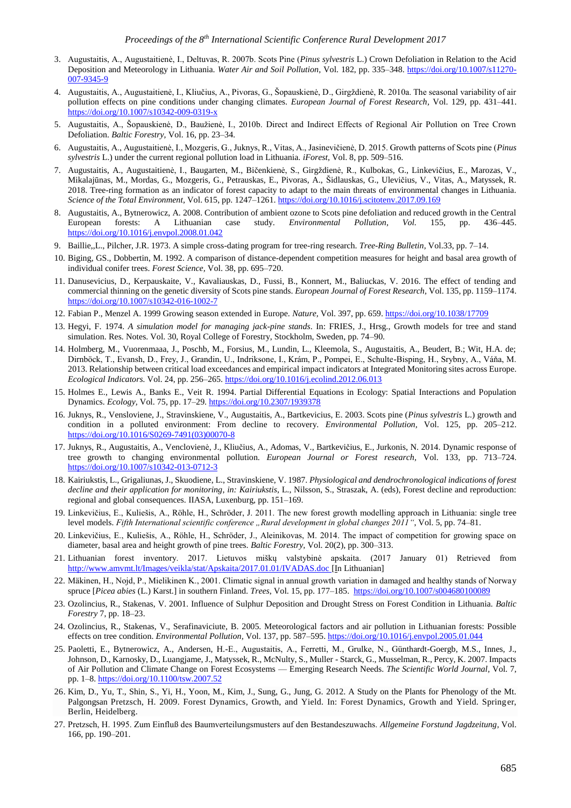- 3. Augustaitis, A., Augustaitienė, I., Deltuvas, R. 2007b. Scots Pine (*Pinus sylvestris* L.) Crown Defoliation in Relation to the Acid Deposition and Meteorology in Lithuania. *Water Air and Soil Pollution,* Vol. 182, pp. 335–348. [https://doi.org/10.1007/s11270-](https://doi.org/10.1007/s11270-007-9345-9) [007-9345-9](https://doi.org/10.1007/s11270-007-9345-9)
- 4. Augustaitis, A., Augustaitienė, I., Kliučius, A., Pivoras, G., Šopauskienė, D., Girgždienė, R. 2010a. The seasonal variability of air pollution effects on pine conditions under changing climates. *European Journal of Forest Research,* Vol. 129, pp. 431–441. <https://doi.org/10.1007/s10342-009-0319-x>
- 5. Augustaitis, A., Šopauskienė, D., Baužienė, I., 2010b. Direct and Indirect Effects of Regional Air Pollution on Tree Crown Defoliation. *Baltic Forestry,* Vol. 16, pp. 23–34.
- 6. Augustaitis, A., Augustaitienė, I., Mozgeris, G., Juknys, R., Vitas, A., Jasinevičienė, D. 2015. Growth patterns of Scots pine (*Pinus sylvestris* L.) under the current regional pollution load in Lithuania. *iForest,* Vol. 8, pp. 509–516.
- 7. Augustaitis, A., Augustaitienė, I., Baugarten, M., Bičenkienė, S., Girgždienė, R., Kulbokas, G., Linkevičius, E., Marozas, V., Mikalajūnas, M., Mordas, G., Mozgeris, G., Petrauskas, E., Pivoras, A., Šidlauskas, G., Ulevičius, V., Vitas, A., Matyssek, R. 2018. Tree-ring formation as an indicator of forest capacity to adapt to the main threats of environmental changes in Lithuania. *Science of the Total Environment,* Vol. 615, pp. 1247–1261. <https://doi.org/10.1016/j.scitotenv.2017.09.169>
- 8. Augustaitis, A., Bytnerowicz, A. 2008. Contribution of ambient ozone to Scots pine defoliation and reduced growth in the Central European forests: A Lithuanian case study. *Environmental Pollution, Vol.* 155, pp. 436–445. <https://doi.org/10.1016/j.envpol.2008.01.042>
- 9. Baillie,,L., Pilcher, J.R. 1973. A simple cross-dating program for tree-ring research. *Tree-Ring Bulletin,* Vol.33, pp. 7–14.
- 10. Biging, GS., Dobbertin, M. 1992. A comparison of distance-dependent competition measures for height and basal area growth of individual conifer trees. *Forest Science,* Vol. 38, pp. 695–720.
- 11. Danusevicius, D., Kerpauskaite, V., Kavaliauskas, D., Fussi, B., Konnert, M., Baliuckas, V. 2016. The effect of tending and commercial thinning on the genetic diversity of Scots pine stands. *European Journal of Forest Research,* Vol. 135, pp. 1159–1174. <https://doi.org/10.1007/s10342-016-1002-7>
- 12. Fabian P., Menzel A. 1999 Growing season extended in Europe. *Nature,* Vol. 397, pp. 659.<https://doi.org/10.1038/17709>
- 13. Hegyi, F. 1974. *A simulation model for managing jack-pine stands*. In: FRIES, J., Hrsg., Growth models for tree and stand simulation. Res. Notes. Vol. 30, Royal College of Forestry, Stockholm, Sweden, pp. 74–90.
- 14. Holmberg, M., Vuorenmaaa, J., Poschb, M., Forsius, M., Lundin, L., Kleemola, S., Augustaitis, A., Beudert, B.; Wit, H.A. de; Dirnböck, T., Evansh, D., Frey, J., Grandin, U., Indriksone, I., Krám, P., Pompei, E., Schulte-Bisping, H., Srybny, A., Váňa, M. 2013. Relationship between critical load exceedances and empirical impact indicators at Integrated Monitoring sites across Europe. *Ecological Indicators.* Vol. 24, pp. 256–265[. https://doi.org/10.1016/j.ecolind.2012.06.013](https://doi.org/10.1016/j.ecolind.2012.06.013)
- 15. Holmes E., Lewis A., Banks E., Veit R. 1994. Partial Differential Equations in Ecology: Spatial Interactions and Population Dynamics. *Ecology,* Vol. 75, pp. 17–29. <https://doi.org/10.2307/1939378>
- 16. Juknys, R., Vensloviene, J., Stravinskiene, V., Augustaitis, A., Bartkevicius, E. 2003. Scots pine (*Pinus sylvestris* L.) growth and condition in a polluted environment: From decline to recovery. *Environmental Pollution,* Vol. 125, pp. 205–212. [https://doi.org/10.1016/S0269-7491\(03\)00070-8](https://doi.org/10.1016/S0269-7491(03)00070-8)
- 17. Juknys, R., Augustaitis, A., Venclovienė, J., Kliučius, A., Adomas, V., Bartkevičius, E., Jurkonis, N. 2014. Dynamic response of tree growth to changing environmental pollution. *European Journal or Forest research,* Vol. 133, pp. 713–724. <https://doi.org/10.1007/s10342-013-0712-3>
- 18. Kairiukstis, L., Grigaliunas, J., Skuodiene, L., Stravinskiene, V. 1987. *Physiological and dendrochronological indications of forest decline and their application for monitoring*, *in: Kairiukstis*, L., Nilsson, S., Straszak, A. (eds), Forest decline and reproduction: regional and global consequences. IIASA, Luxenburg, pp. 151–169.
- 19. Linkevičius, E., Kuliešis, A., Röhle, H., Schröder, J. 2011. The new forest growth modelling approach in Lithuania: single tree level models. *Fifth International scientific conference* "Rural development in global changes 2011", Vol. 5, pp. 74–81.
- 20. Linkevičius, E., Kuliešis, A., Röhle, H., Schröder, J., Aleinikovas, M. 2014. The impact of competition for growing space on diameter, basal area and height growth of pine trees. *Baltic Forestry,* Vol. 20(2), pp. 300–313.
- 21. Lithuanian forest inventory. 2017. Lietuvos miškų valstybinė apskaita. (2017 January 01) Retrieved from <http://www.amvmt.lt/Images/veikla/stat/Apskaita/2017.01.01/IVADAS.doc> [In Lithuanian]
- 22. Mäkinen, H., Nojd, P., Mielikinen K., 2001. Climatic signal in annual growth variation in damaged and healthy stands of Norway spruce [*Picea abies* (L.) Karst.] in southern Finland. *Trees*, Vol. 15, pp. 177–185. <https://doi.org/10.1007/s004680100089>
- 23. Ozolincius, R., Stakenas, V. 2001. Influence of Sulphur Deposition and Drought Stress on Forest Condition in Lithuania. *Baltic Forestry* 7, pp. 18–23.
- 24. Ozolincius, R., Stakenas, V., Serafinaviciute, B. 2005. Meteorological factors and air pollution in Lithuanian forests: Possible effects on tree condition. *Environmental Pollution,* Vol. 137, pp. 587–595. <https://doi.org/10.1016/j.envpol.2005.01.044>
- 25. Paoletti, E., Bytnerowicz, A., Andersen, H.-E., Augustaitis, A., Ferretti, M., Grulke, N., Günthardt-Goergb, M.S., Innes, J., Johnson, D., Karnosky, D., Luangjame, J., Matyssek, R., McNulty, S., Muller - Starck, G., Musselman, R., Percy, K. 2007. Impacts of Air Pollution and Climate Change on Forest Ecosystems — Emerging Research Needs. *The Scientific World Journal,* Vol. 7, pp. 1–8[. https://doi.org/10.1100/tsw.2007.52](https://doi.org/10.1100/tsw.2007.52)
- 26. Kim, D., Yu, T., Shin, S., Yi, H., Yoon, M., Kim, J., Sung, G., Jung, G. 2012. A Study on the Plants for Phenology of the Mt. Palgongsan Pretzsch, H. 2009. Forest Dynamics, Growth, and Yield. In: Forest Dynamics, Growth and Yield. Springer, Berlin, Heidelberg.
- 27. Pretzsch, H. 1995. Zum Einfluß des Baumverteilungsmusters auf den Bestandeszuwachs. *Allgemeine Forstund Jagdzeitung,* Vol. 166, pp. 190–201.